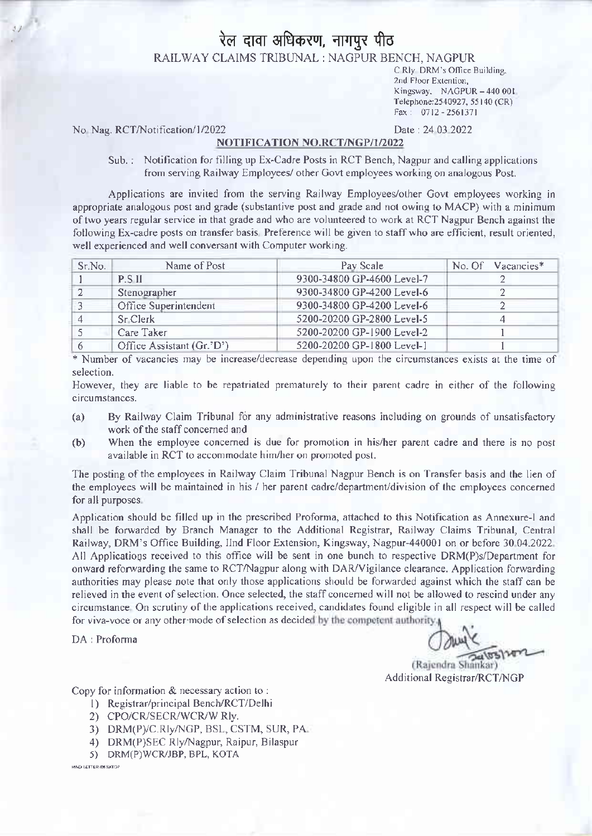# रेल दावा अधिकरण, नागपुर पीठ

RAILWAY CLAIMS TRIBUNAL : NAGPUR BENCH, NAGPUR

C Rlv DRM's Office Building, 2nd Floor Extention, Kingsway, NAGPUR - 440 001 Telephone: 2540927, 55140 (CR)  $Fax: 0712 - 2561371$ 

No Nag. RCT/Notification/1/2022

#### Date: 24 03 2022

### NOTIFICATION NO.RCT/NGP/1/2022

Sub.: Notification for filling up Ex-Cadre Posts in RCT Bench, Nagpur and calling applications from serving Railway Employees/ other Govt employees working on analogous Post.

Applications are invited from the serving Railway Employees/other Govt employees working in appropriate analogous post and grade (substantive post and grade and not owing to MACP) with a minimum of two years regular service in that grade and who are volunteered to work at RCT Nagpur Bench against the following Ex-cadre posts on transfer basis. Preference will be given to staff who are efficient, result oriented, well experienced and well conversant with Computer working.

| Sr.No. | Name of Post              | Pay Scale                  | No. Of Vacancies* |
|--------|---------------------------|----------------------------|-------------------|
|        | <b>P.S.II</b>             | 9300-34800 GP-4600 Level-7 |                   |
|        | Stenographer              | 9300-34800 GP-4200 Level-6 |                   |
|        | Office Superintendent     | 9300-34800 GP-4200 Level-6 |                   |
|        | Sr Clerk                  | 5200-20200 GP-2800 Level-5 |                   |
|        | Care Taker                | 5200-20200 GP-1900 Level-2 |                   |
|        | Office Assistant (Gr.'D') | 5200-20200 GP-1800 Level-1 |                   |

\* Number of vacancies may be increase/decrease depending upon the circumstances exists at the time of selection.

However, they are liable to be repatriated prematurely to their parent cadre in either of the following circumstances.

- $(a)$ By Railway Claim Tribunal for any administrative reasons including on grounds of unsatisfactory work of the staff concerned and
- When the employee concerned is due for promotion in his/her parent cadre and there is no post  $(b)$ available in RCT to accommodate him/her on promoted post.

The posting of the employees in Railway Claim Tribunal Nagpur Bench is on Transfer basis and the lien of the employees will be maintained in his / her parent cadre/department/division of the employees concerned for all purposes.

Application should be filled up in the prescribed Proforma, attached to this Notification as Annexure-I and shall be forwarded by Branch Manager to the Additional Registrar, Railway Claims Tribunal, Central Railway, DRM's Office Building, IInd Floor Extension, Kingsway, Nagpur-440001 on or before 30.04.2022 All Applications received to this office will be sent in one bunch to respective DRM(P)s/Department for onward reforwarding the same to RCT/Nagpur along with DAR/Vigilance clearance. Application forwarding authorities may please note that only those applications should be forwarded against which the staff can be relieved in the event of selection. Once selected, the staff concerned will not be allowed to rescind under any circumstance. On scrutiny of the applications received, candidates found eligible in all respect will be called for viva-voce or any other-mode of selection as decided by the competent authority,

DA: Proforma

(Rajendra Shankar) Additional Registrar/RCT/NGP

Copy for information & necessary action to:

- 1) Registrar/principal Bench/RCT/Delhi
- 2) CPO/CR/SECR/WCR/W Rly.
- 3) DRM(P)/C.Rly/NGP, BSL, CSTM, SUR, PA
- 4) DRM(P)SEC Rly/Nagpur, Raipur, Bilaspur
- 5) DRM(P)WCR/JBP, BPL, KOTA

HINDI LETTER IDESKTOP